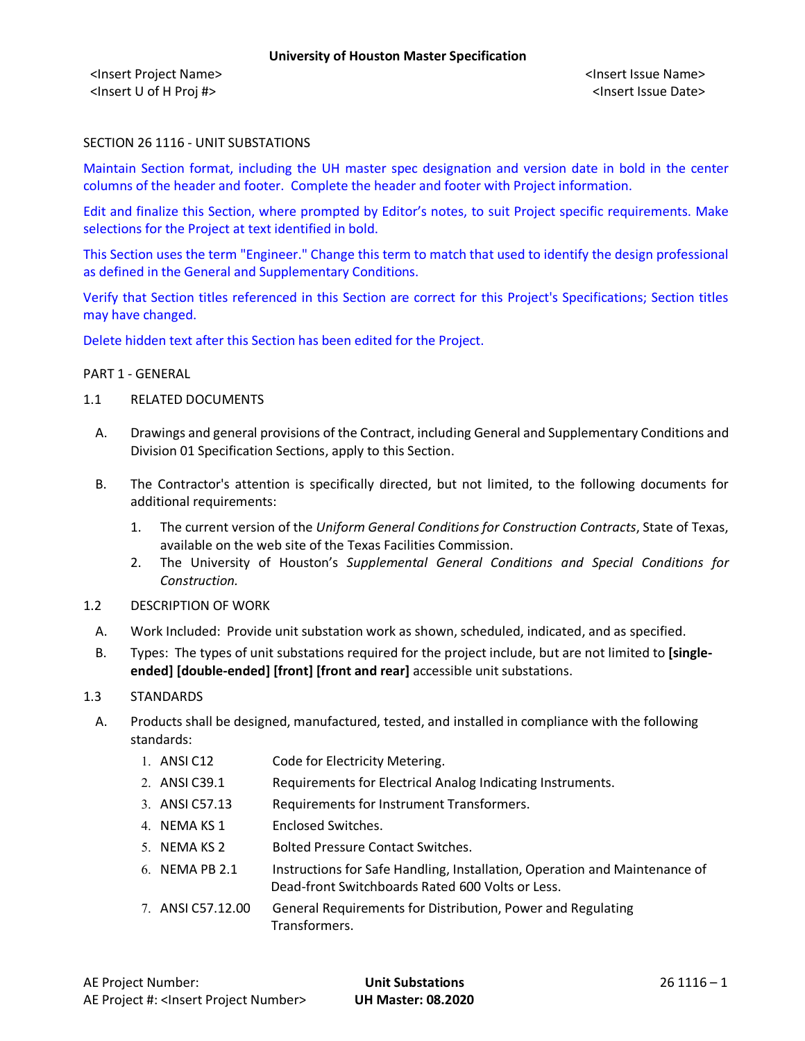<Insert Project Name> <Insert Issue Name> <Insert U of H Proj #> <Insert Issue Date>

## SECTION 26 1116 - UNIT SUBSTATIONS

Maintain Section format, including the UH master spec designation and version date in bold in the center columns of the header and footer. Complete the header and footer with Project information.

Edit and finalize this Section, where prompted by Editor's notes, to suit Project specific requirements. Make selections for the Project at text identified in bold.

This Section uses the term "Engineer." Change this term to match that used to identify the design professional as defined in the General and Supplementary Conditions.

Verify that Section titles referenced in this Section are correct for this Project's Specifications; Section titles may have changed.

Delete hidden text after this Section has been edited for the Project.

#### PART 1 - GENERAL

- 1.1 RELATED DOCUMENTS
	- A. Drawings and general provisions of the Contract, including General and Supplementary Conditions and Division 01 Specification Sections, apply to this Section.
	- B. The Contractor's attention is specifically directed, but not limited, to the following documents for additional requirements:
		- 1. The current version of the *Uniform General Conditions for Construction Contracts*, State of Texas, available on the web site of the Texas Facilities Commission.
		- 2. The University of Houston's *Supplemental General Conditions and Special Conditions for Construction.*
- 1.2 DESCRIPTION OF WORK
	- A. Work Included: Provide unit substation work as shown, scheduled, indicated, and as specified.
	- B. Types: The types of unit substations required for the project include, but are not limited to **[singleended] [double-ended] [front] [front and rear]** accessible unit substations.

#### 1.3 STANDARDS

- A. Products shall be designed, manufactured, tested, and installed in compliance with the following standards:
	- 1. ANSI C12 Code for Electricity Metering.
	- 2. ANSI C39.1 Requirements for Electrical Analog Indicating Instruments.
	- 3. ANSI C57.13 Requirements for Instrument Transformers.
	- 4. NEMA KS 1 Enclosed Switches.
	- 5. NEMA KS 2 Bolted Pressure Contact Switches.
	- 6. NEMA PB 2.1 Instructions for Safe Handling, Installation, Operation and Maintenance of Dead-front Switchboards Rated 600 Volts or Less.
	- 7. ANSI C57.12.00 General Requirements for Distribution, Power and Regulating Transformers.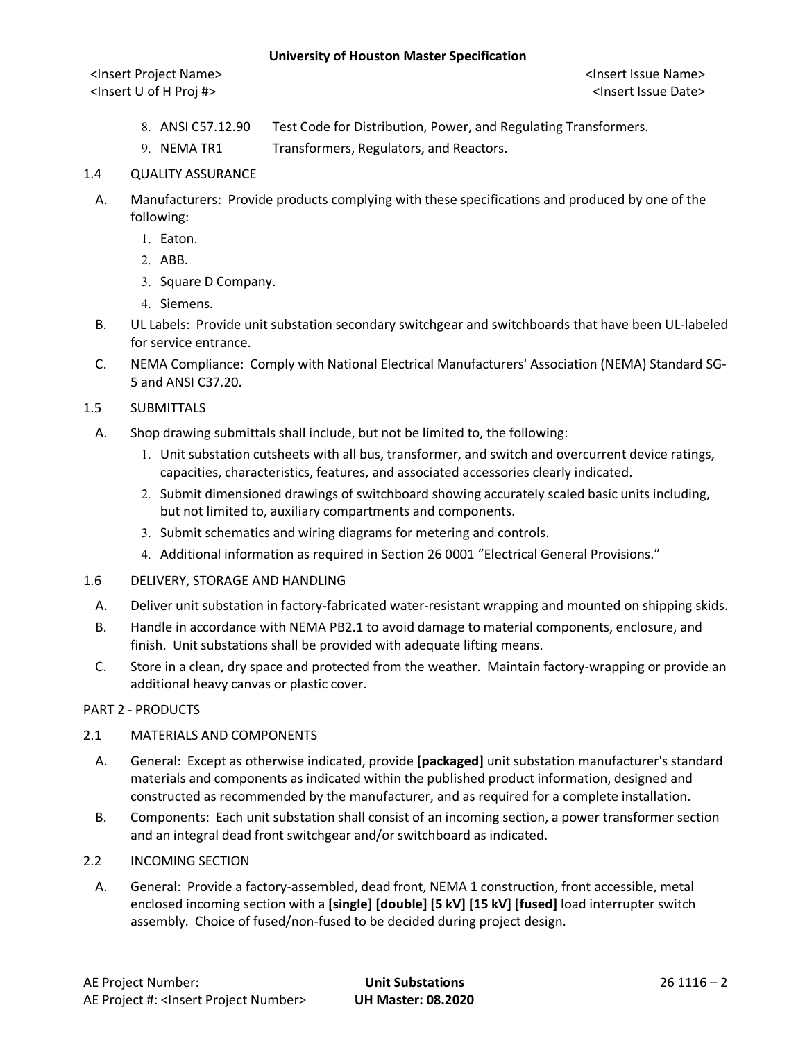#### **University of Houston Master Specification**

<Insert Project Name> <Insert Issue Name> <Insert U of H Proj #> <Insert Issue Date>

- 8. ANSI C57.12.90 Test Code for Distribution, Power, and Regulating Transformers.
- 9. NEMA TR1 Transformers, Regulators, and Reactors.

## 1.4 QUALITY ASSURANCE

- A. Manufacturers: Provide products complying with these specifications and produced by one of the following:
	- 1. Eaton.
	- 2. ABB.
	- 3. Square D Company.
	- 4. Siemens.
- B. UL Labels: Provide unit substation secondary switchgear and switchboards that have been UL-labeled for service entrance.
- C. NEMA Compliance: Comply with National Electrical Manufacturers' Association (NEMA) Standard SG-5 and ANSI C37.20.

## 1.5 SUBMITTALS

- A. Shop drawing submittals shall include, but not be limited to, the following:
	- 1. Unit substation cutsheets with all bus, transformer, and switch and overcurrent device ratings, capacities, characteristics, features, and associated accessories clearly indicated.
	- 2. Submit dimensioned drawings of switchboard showing accurately scaled basic units including, but not limited to, auxiliary compartments and components.
	- 3. Submit schematics and wiring diagrams for metering and controls.
	- 4. Additional information as required in Section 26 0001 "Electrical General Provisions."
- 1.6 DELIVERY, STORAGE AND HANDLING
	- A. Deliver unit substation in factory-fabricated water-resistant wrapping and mounted on shipping skids.
	- B. Handle in accordance with NEMA PB2.1 to avoid damage to material components, enclosure, and finish. Unit substations shall be provided with adequate lifting means.
	- C. Store in a clean, dry space and protected from the weather. Maintain factory-wrapping or provide an additional heavy canvas or plastic cover.

#### PART 2 - PRODUCTS

#### 2.1 MATERIALS AND COMPONENTS

- A. General: Except as otherwise indicated, provide **[packaged]** unit substation manufacturer's standard materials and components as indicated within the published product information, designed and constructed as recommended by the manufacturer, and as required for a complete installation.
- B. Components: Each unit substation shall consist of an incoming section, a power transformer section and an integral dead front switchgear and/or switchboard as indicated.
- 2.2 INCOMING SECTION
	- A. General: Provide a factory-assembled, dead front, NEMA 1 construction, front accessible, metal enclosed incoming section with a **[single] [double] [5 kV] [15 kV] [fused]** load interrupter switch assembly. Choice of fused/non-fused to be decided during project design.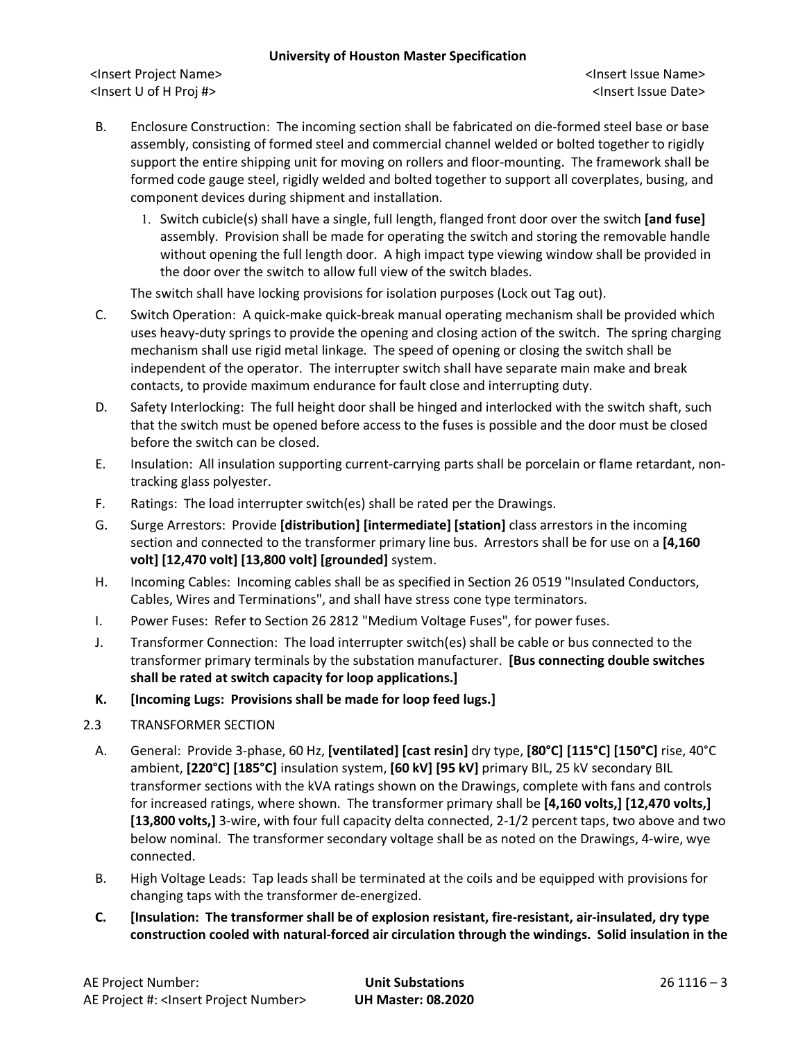## **University of Houston Master Specification**

<Insert Project Name> <Insert Issue Name> <Insert U of H Proj #> <Insert Issue Date>

- B. Enclosure Construction: The incoming section shall be fabricated on die-formed steel base or base assembly, consisting of formed steel and commercial channel welded or bolted together to rigidly support the entire shipping unit for moving on rollers and floor-mounting. The framework shall be formed code gauge steel, rigidly welded and bolted together to support all coverplates, busing, and component devices during shipment and installation.
	- 1. Switch cubicle(s) shall have a single, full length, flanged front door over the switch **[and fuse]** assembly. Provision shall be made for operating the switch and storing the removable handle without opening the full length door. A high impact type viewing window shall be provided in the door over the switch to allow full view of the switch blades.

The switch shall have locking provisions for isolation purposes (Lock out Tag out).

- C. Switch Operation: A quick-make quick-break manual operating mechanism shall be provided which uses heavy-duty springs to provide the opening and closing action of the switch. The spring charging mechanism shall use rigid metal linkage. The speed of opening or closing the switch shall be independent of the operator. The interrupter switch shall have separate main make and break contacts, to provide maximum endurance for fault close and interrupting duty.
- D. Safety Interlocking: The full height door shall be hinged and interlocked with the switch shaft, such that the switch must be opened before access to the fuses is possible and the door must be closed before the switch can be closed.
- E. Insulation: All insulation supporting current-carrying parts shall be porcelain or flame retardant, nontracking glass polyester.
- F. Ratings: The load interrupter switch(es) shall be rated per the Drawings.
- G. Surge Arrestors: Provide **[distribution] [intermediate] [station]** class arrestors in the incoming section and connected to the transformer primary line bus. Arrestors shall be for use on a **[4,160 volt] [12,470 volt] [13,800 volt] [grounded]** system.
- H. Incoming Cables: Incoming cables shall be as specified in Section 26 0519 "Insulated Conductors, Cables, Wires and Terminations", and shall have stress cone type terminators.
- I. Power Fuses: Refer to Section 26 2812 "Medium Voltage Fuses", for power fuses.
- J. Transformer Connection: The load interrupter switch(es) shall be cable or bus connected to the transformer primary terminals by the substation manufacturer. **[Bus connecting double switches shall be rated at switch capacity for loop applications.]**

## **K. [Incoming Lugs: Provisions shall be made for loop feed lugs.]**

## 2.3 TRANSFORMER SECTION

- A. General: Provide 3-phase, 60 Hz, **[ventilated] [cast resin]** dry type, **[80°C] [115°C] [150°C]** rise, 40°C ambient, **[220°C] [185°C]** insulation system, **[60 kV] [95 kV]** primary BIL, 25 kV secondary BIL transformer sections with the kVA ratings shown on the Drawings, complete with fans and controls for increased ratings, where shown. The transformer primary shall be **[4,160 volts,] [12,470 volts,] [13,800 volts,]** 3-wire, with four full capacity delta connected, 2-1/2 percent taps, two above and two below nominal. The transformer secondary voltage shall be as noted on the Drawings, 4-wire, wye connected.
- B. High Voltage Leads: Tap leads shall be terminated at the coils and be equipped with provisions for changing taps with the transformer de-energized.
- **C. [Insulation: The transformer shall be of explosion resistant, fire-resistant, air-insulated, dry type construction cooled with natural-forced air circulation through the windings. Solid insulation in the**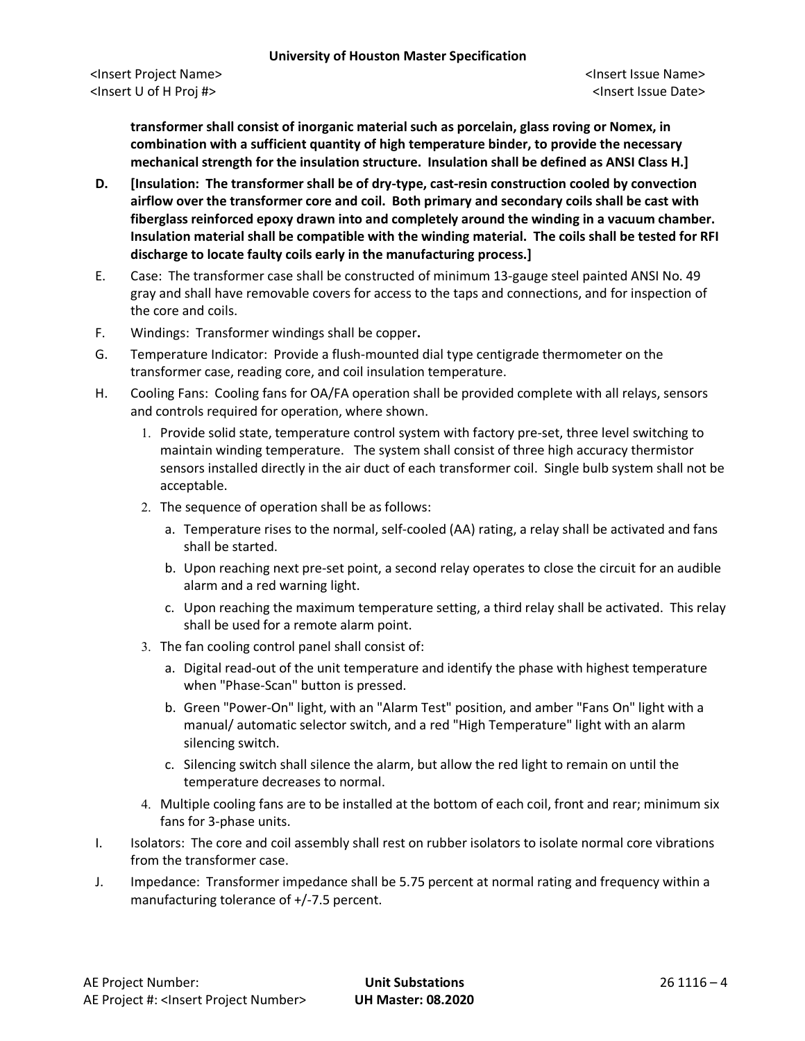**transformer shall consist of inorganic material such as porcelain, glass roving or Nomex, in combination with a sufficient quantity of high temperature binder, to provide the necessary mechanical strength for the insulation structure. Insulation shall be defined as ANSI Class H.]**

- **D. [Insulation: The transformer shall be of dry-type, cast-resin construction cooled by convection airflow over the transformer core and coil. Both primary and secondary coils shall be cast with fiberglass reinforced epoxy drawn into and completely around the winding in a vacuum chamber. Insulation material shall be compatible with the winding material. The coils shall be tested for RFI discharge to locate faulty coils early in the manufacturing process.]**
- E. Case: The transformer case shall be constructed of minimum 13-gauge steel painted ANSI No. 49 gray and shall have removable covers for access to the taps and connections, and for inspection of the core and coils.
- F. Windings: Transformer windings shall be copper**.**
- G. Temperature Indicator: Provide a flush-mounted dial type centigrade thermometer on the transformer case, reading core, and coil insulation temperature.
- H. Cooling Fans: Cooling fans for OA/FA operation shall be provided complete with all relays, sensors and controls required for operation, where shown.
	- 1. Provide solid state, temperature control system with factory pre-set, three level switching to maintain winding temperature. The system shall consist of three high accuracy thermistor sensors installed directly in the air duct of each transformer coil. Single bulb system shall not be acceptable.
	- 2. The sequence of operation shall be as follows:
		- a. Temperature rises to the normal, self-cooled (AA) rating, a relay shall be activated and fans shall be started.
		- b. Upon reaching next pre-set point, a second relay operates to close the circuit for an audible alarm and a red warning light.
		- c. Upon reaching the maximum temperature setting, a third relay shall be activated. This relay shall be used for a remote alarm point.
	- 3. The fan cooling control panel shall consist of:
		- a. Digital read-out of the unit temperature and identify the phase with highest temperature when "Phase-Scan" button is pressed.
		- b. Green "Power-On" light, with an "Alarm Test" position, and amber "Fans On" light with a manual/ automatic selector switch, and a red "High Temperature" light with an alarm silencing switch.
		- c. Silencing switch shall silence the alarm, but allow the red light to remain on until the temperature decreases to normal.
	- 4. Multiple cooling fans are to be installed at the bottom of each coil, front and rear; minimum six fans for 3-phase units.
- I. Isolators: The core and coil assembly shall rest on rubber isolators to isolate normal core vibrations from the transformer case.
- J. Impedance: Transformer impedance shall be 5.75 percent at normal rating and frequency within a manufacturing tolerance of +/-7.5 percent.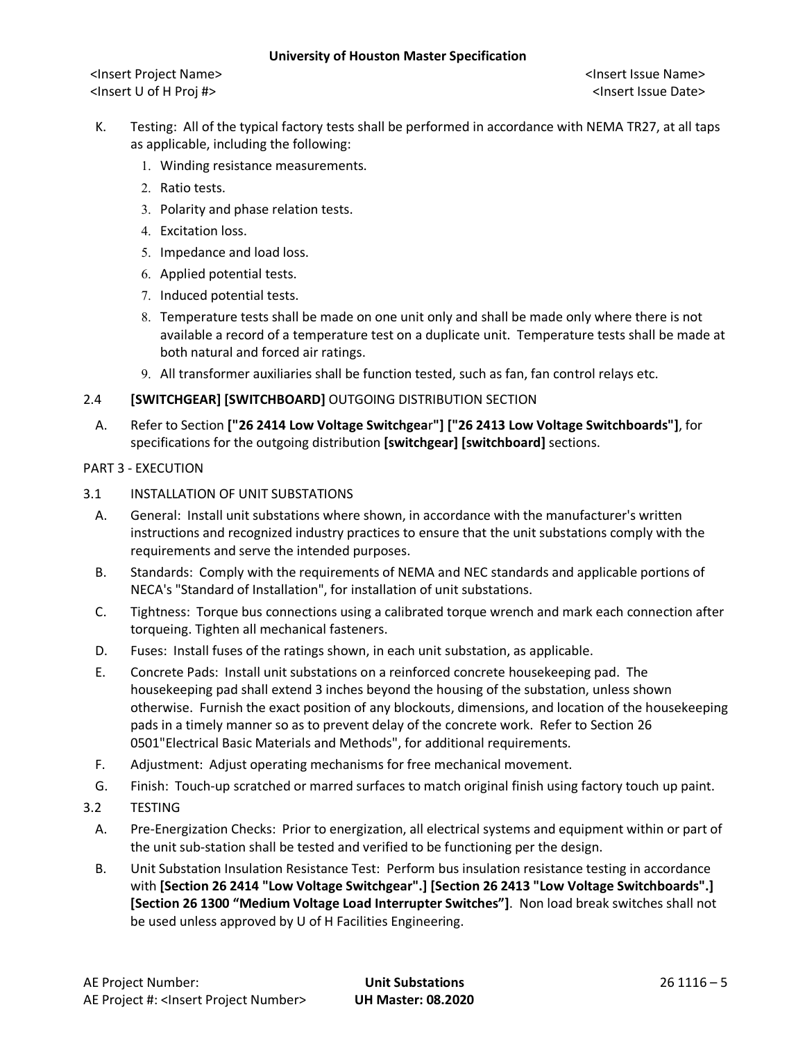<Insert Project Name> <Insert Issue Name> <Insert U of H Proj #> <Insert Issue Date>

- K. Testing: All of the typical factory tests shall be performed in accordance with NEMA TR27, at all taps as applicable, including the following:
	- 1. Winding resistance measurements.
	- 2. Ratio tests.
	- 3. Polarity and phase relation tests.
	- 4. Excitation loss.
	- 5. Impedance and load loss.
	- 6. Applied potential tests.
	- 7. Induced potential tests.
	- 8. Temperature tests shall be made on one unit only and shall be made only where there is not available a record of a temperature test on a duplicate unit. Temperature tests shall be made at both natural and forced air ratings.
	- 9. All transformer auxiliaries shall be function tested, such as fan, fan control relays etc.

# 2.4 **[SWITCHGEAR] [SWITCHBOARD]** OUTGOING DISTRIBUTION SECTION

A. Refer to Section **["26 2414 Low Voltage Switchgea**r**"] ["26 2413 Low Voltage Switchboards"]**, for specifications for the outgoing distribution **[switchgear] [switchboard]** sections.

## PART 3 - EXECUTION

- 3.1 INSTALLATION OF UNIT SUBSTATIONS
	- A. General: Install unit substations where shown, in accordance with the manufacturer's written instructions and recognized industry practices to ensure that the unit substations comply with the requirements and serve the intended purposes.
	- B. Standards: Comply with the requirements of NEMA and NEC standards and applicable portions of NECA's "Standard of Installation", for installation of unit substations.
	- C. Tightness: Torque bus connections using a calibrated torque wrench and mark each connection after torqueing. Tighten all mechanical fasteners.
	- D. Fuses: Install fuses of the ratings shown, in each unit substation, as applicable.
	- E. Concrete Pads: Install unit substations on a reinforced concrete housekeeping pad. The housekeeping pad shall extend 3 inches beyond the housing of the substation, unless shown otherwise. Furnish the exact position of any blockouts, dimensions, and location of the housekeeping pads in a timely manner so as to prevent delay of the concrete work. Refer to Section 26 0501"Electrical Basic Materials and Methods", for additional requirements.
	- F. Adjustment: Adjust operating mechanisms for free mechanical movement.
	- G. Finish: Touch-up scratched or marred surfaces to match original finish using factory touch up paint.
- 3.2 TESTING
	- A. Pre-Energization Checks: Prior to energization, all electrical systems and equipment within or part of the unit sub-station shall be tested and verified to be functioning per the design.
	- B. Unit Substation Insulation Resistance Test: Perform bus insulation resistance testing in accordance with **[Section 26 2414 "Low Voltage Switchgear".] [Section 26 2413 "Low Voltage Switchboards".] [Section 26 1300 "Medium Voltage Load Interrupter Switches"]**.Non load break switches shall not be used unless approved by U of H Facilities Engineering.